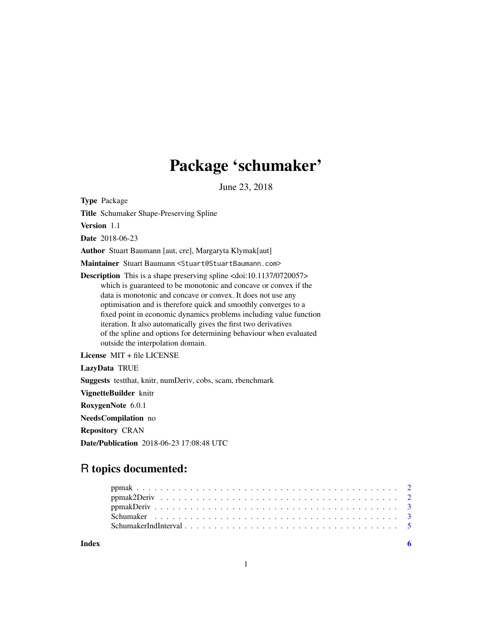# Package 'schumaker'

June 23, 2018

Type Package

Title Schumaker Shape-Preserving Spline

Version 1.1

Date 2018-06-23

Author Stuart Baumann [aut, cre], Margaryta Klymak[aut]

Maintainer Stuart Baumann <Stuart@StuartBaumann.com>

Description This is a shape preserving spline <doi:10.1137/0720057> which is guaranteed to be monotonic and concave or convex if the data is monotonic and concave or convex. It does not use any optimisation and is therefore quick and smoothly converges to a fixed point in economic dynamics problems including value function iteration. It also automatically gives the first two derivatives of the spline and options for determining behaviour when evaluated outside the interpolation domain.

License MIT + file LICENSE

LazyData TRUE

Suggests testthat, knitr, numDeriv, cobs, scam, rbenchmark

VignetteBuilder knitr

RoxygenNote 6.0.1

NeedsCompilation no

Repository CRAN

Date/Publication 2018-06-23 17:08:48 UTC

# R topics documented:

**Index** [6](#page-5-0) **6**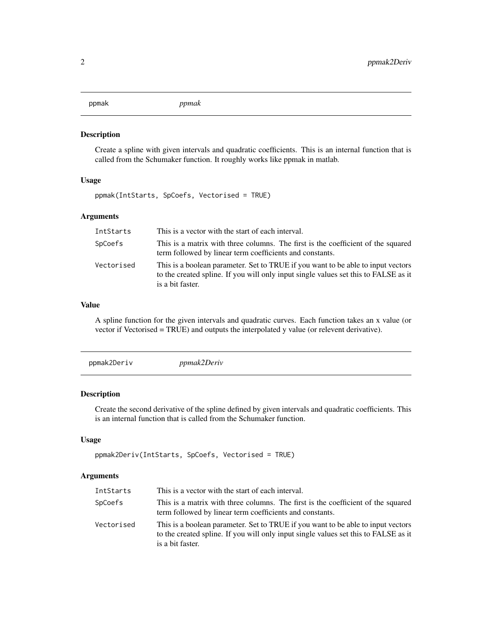#### Description

Create a spline with given intervals and quadratic coefficients. This is an internal function that is called from the Schumaker function. It roughly works like ppmak in matlab.

# Usage

ppmak(IntStarts, SpCoefs, Vectorised = TRUE)

# Arguments

| IntStarts  | This is a vector with the start of each interval.                                                                                                                                           |
|------------|---------------------------------------------------------------------------------------------------------------------------------------------------------------------------------------------|
| SpCoefs    | This is a matrix with three columns. The first is the coefficient of the squared<br>term followed by linear term coefficients and constants.                                                |
| Vectorised | This is a boolean parameter. Set to TRUE if you want to be able to input vectors<br>to the created spline. If you will only input single values set this to FALSE as it<br>is a bit faster. |

#### Value

A spline function for the given intervals and quadratic curves. Each function takes an x value (or vector if Vectorised = TRUE) and outputs the interpolated y value (or relevent derivative).

|--|--|

# Description

Create the second derivative of the spline defined by given intervals and quadratic coefficients. This is an internal function that is called from the Schumaker function.

#### Usage

```
ppmak2Deriv(IntStarts, SpCoefs, Vectorised = TRUE)
```
#### Arguments

| IntStarts  | This is a vector with the start of each interval.                                                                                                                                           |
|------------|---------------------------------------------------------------------------------------------------------------------------------------------------------------------------------------------|
| SpCoefs    | This is a matrix with three columns. The first is the coefficient of the squared<br>term followed by linear term coefficients and constants.                                                |
| Vectorised | This is a boolean parameter. Set to TRUE if you want to be able to input vectors<br>to the created spline. If you will only input single values set this to FALSE as it<br>is a bit faster. |

#### <span id="page-1-0"></span>ppmak *ppmak*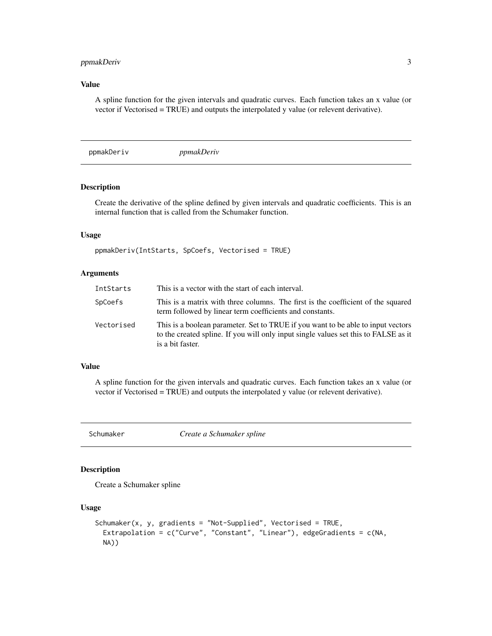# <span id="page-2-0"></span>ppmakDeriv 3

# Value

A spline function for the given intervals and quadratic curves. Each function takes an x value (or vector if Vectorised = TRUE) and outputs the interpolated y value (or relevent derivative).

ppmakDeriv *ppmakDeriv*

#### Description

Create the derivative of the spline defined by given intervals and quadratic coefficients. This is an internal function that is called from the Schumaker function.

#### Usage

ppmakDeriv(IntStarts, SpCoefs, Vectorised = TRUE)

# Arguments

| IntStarts  | This is a vector with the start of each interval.                                                                                                                                           |
|------------|---------------------------------------------------------------------------------------------------------------------------------------------------------------------------------------------|
| SpCoefs    | This is a matrix with three columns. The first is the coefficient of the squared<br>term followed by linear term coefficients and constants.                                                |
| Vectorised | This is a boolean parameter. Set to TRUE if you want to be able to input vectors<br>to the created spline. If you will only input single values set this to FALSE as it<br>is a bit faster. |

#### Value

A spline function for the given intervals and quadratic curves. Each function takes an x value (or vector if Vectorised = TRUE) and outputs the interpolated y value (or relevent derivative).

Schumaker *Create a Schumaker spline*

#### Description

Create a Schumaker spline

#### Usage

```
Schumaker(x, y, gradients = "Not-Supplied", Vectorised = TRUE,
 Extrapolation = c("Curve", "Constant", "Linear"), edgeGradients = c(NA,
 NA))
```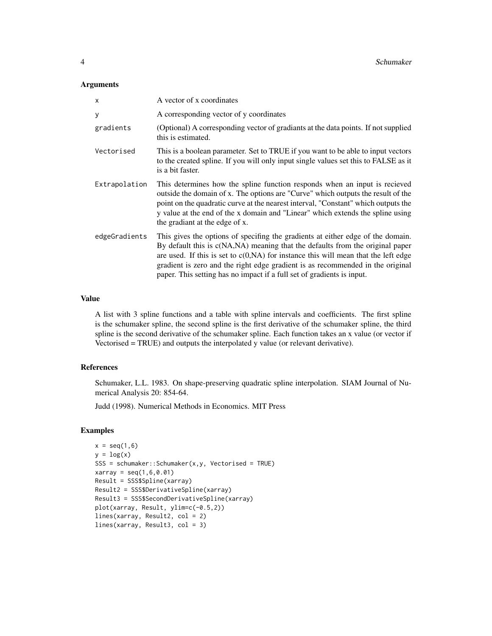#### **Arguments**

| $\mathsf{x}$  | A vector of x coordinates                                                                                                                                                                                                                                                                                                                                                                                             |
|---------------|-----------------------------------------------------------------------------------------------------------------------------------------------------------------------------------------------------------------------------------------------------------------------------------------------------------------------------------------------------------------------------------------------------------------------|
| У             | A corresponding vector of y coordinates                                                                                                                                                                                                                                                                                                                                                                               |
| gradients     | (Optional) A corresponding vector of gradiants at the data points. If not supplied<br>this is estimated.                                                                                                                                                                                                                                                                                                              |
| Vectorised    | This is a boolean parameter. Set to TRUE if you want to be able to input vectors<br>to the created spline. If you will only input single values set this to FALSE as it<br>is a bit faster.                                                                                                                                                                                                                           |
| Extrapolation | This determines how the spline function responds when an input is recieved<br>outside the domain of x. The options are "Curve" which outputs the result of the<br>point on the quadratic curve at the nearest interval, "Constant" which outputs the<br>y value at the end of the x domain and "Linear" which extends the spline using<br>the gradiant at the edge of x.                                              |
| edgeGradients | This gives the options of specifing the gradients at either edge of the domain.<br>By default this is c(NA,NA) meaning that the defaults from the original paper<br>are used. If this is set to $c(0, NA)$ for instance this will mean that the left edge<br>gradient is zero and the right edge gradient is as recommended in the original<br>paper. This setting has no impact if a full set of gradients is input. |

#### Value

A list with 3 spline functions and a table with spline intervals and coefficients. The first spline is the schumaker spline, the second spline is the first derivative of the schumaker spline, the third spline is the second derivative of the schumaker spline. Each function takes an x value (or vector if Vectorised = TRUE) and outputs the interpolated y value (or relevant derivative).

#### References

Schumaker, L.L. 1983. On shape-preserving quadratic spline interpolation. SIAM Journal of Numerical Analysis 20: 854-64.

Judd (1998). Numerical Methods in Economics. MIT Press

#### Examples

```
x = seq(1, 6)y = log(x)SSS = schumaker::Schumaker(x,y, Vectorised = TRUE)xarray = seq(1, 6, 0.01)Result = SSS$Spline(xarray)
Result2 = SSS$DerivativeSpline(xarray)
Result3 = SSS$SecondDerivativeSpline(xarray)
plot(xarray, Result, ylim=c(-0.5,2))
lines(xarray, Result2, col = 2)
lines(xarray, Result3, col = 3)
```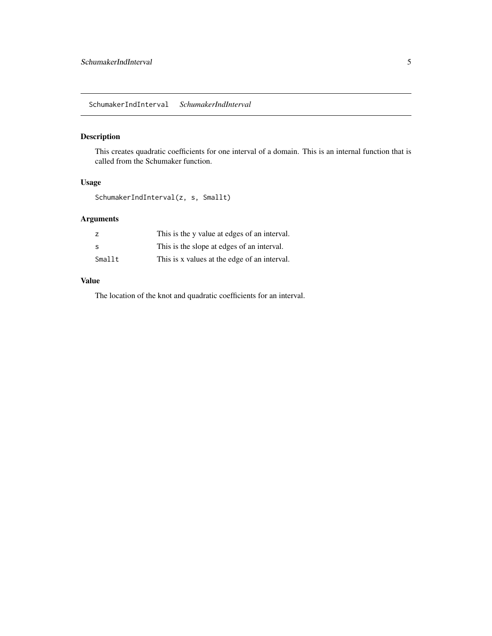# <span id="page-4-0"></span>Description

This creates quadratic coefficients for one interval of a domain. This is an internal function that is called from the Schumaker function.

# Usage

SchumakerIndInterval(z, s, Smallt)

# Arguments

|        | This is the y value at edges of an interval. |
|--------|----------------------------------------------|
| -S     | This is the slope at edges of an interval.   |
| Smallt | This is x values at the edge of an interval. |

# Value

The location of the knot and quadratic coefficients for an interval.